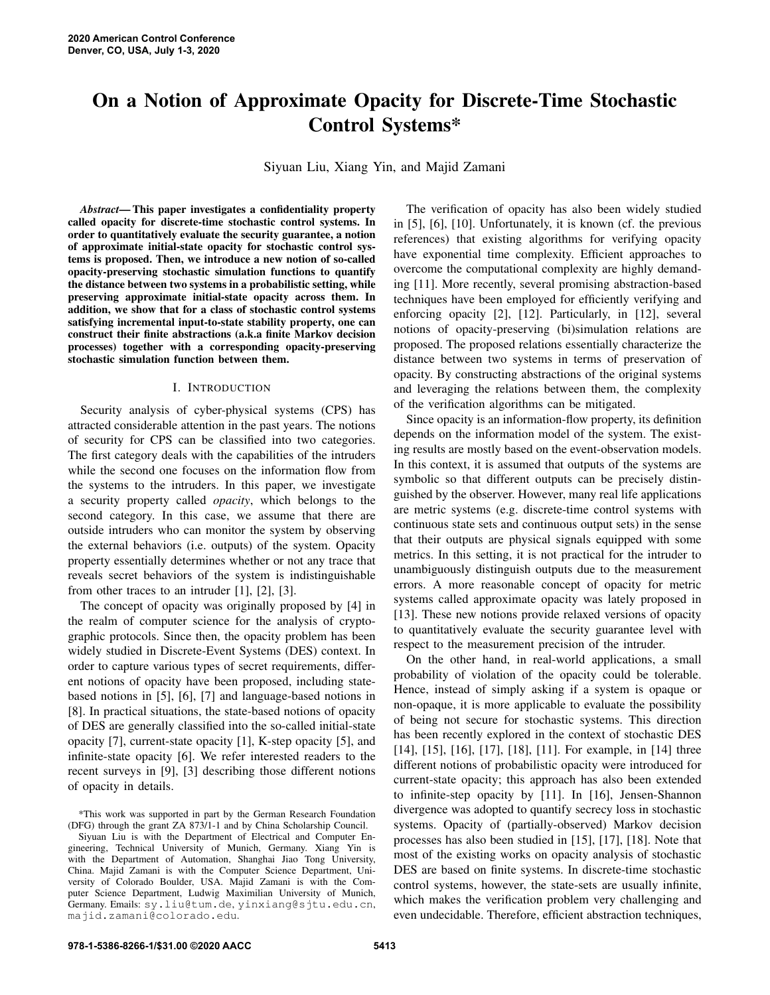# On a Notion of Approximate Opacity for Discrete-Time Stochastic Control Systems\*

Siyuan Liu, Xiang Yin, and Majid Zamani

*Abstract*— This paper investigates a confidentiality property called opacity for discrete-time stochastic control systems. In order to quantitatively evaluate the security guarantee, a notion of approximate initial-state opacity for stochastic control systems is proposed. Then, we introduce a new notion of so-called opacity-preserving stochastic simulation functions to quantify the distance between two systems in a probabilistic setting, while preserving approximate initial-state opacity across them. In addition, we show that for a class of stochastic control systems satisfying incremental input-to-state stability property, one can construct their finite abstractions (a.k.a finite Markov decision processes) together with a corresponding opacity-preserving stochastic simulation function between them.

#### I. INTRODUCTION

Security analysis of cyber-physical systems (CPS) has attracted considerable attention in the past years. The notions of security for CPS can be classified into two categories. The first category deals with the capabilities of the intruders while the second one focuses on the information flow from the systems to the intruders. In this paper, we investigate a security property called *opacity*, which belongs to the second category. In this case, we assume that there are outside intruders who can monitor the system by observing the external behaviors (i.e. outputs) of the system. Opacity property essentially determines whether or not any trace that reveals secret behaviors of the system is indistinguishable from other traces to an intruder [1], [2], [3].

The concept of opacity was originally proposed by [4] in the realm of computer science for the analysis of cryptographic protocols. Since then, the opacity problem has been widely studied in Discrete-Event Systems (DES) context. In order to capture various types of secret requirements, different notions of opacity have been proposed, including statebased notions in [5], [6], [7] and language-based notions in [8]. In practical situations, the state-based notions of opacity of DES are generally classified into the so-called initial-state opacity [7], current-state opacity [1], K-step opacity [5], and infinite-state opacity [6]. We refer interested readers to the recent surveys in [9], [3] describing those different notions of opacity in details.

\*This work was supported in part by the German Research Foundation (DFG) through the grant ZA 873/1-1 and by China Scholarship Council.

Siyuan Liu is with the Department of Electrical and Computer Engineering, Technical University of Munich, Germany. Xiang Yin is with the Department of Automation, Shanghai Jiao Tong University, China. Majid Zamani is with the Computer Science Department, University of Colorado Boulder, USA. Majid Zamani is with the Computer Science Department, Ludwig Maximilian University of Munich, Germany. Emails: sy.liu@tum.de, yinxiang@sjtu.edu.cn, majid.zamani@colorado.edu.

The verification of opacity has also been widely studied in [5], [6], [10]. Unfortunately, it is known (cf. the previous references) that existing algorithms for verifying opacity have exponential time complexity. Efficient approaches to overcome the computational complexity are highly demanding [11]. More recently, several promising abstraction-based techniques have been employed for efficiently verifying and enforcing opacity [2], [12]. Particularly, in [12], several notions of opacity-preserving (bi)simulation relations are proposed. The proposed relations essentially characterize the distance between two systems in terms of preservation of opacity. By constructing abstractions of the original systems and leveraging the relations between them, the complexity of the verification algorithms can be mitigated.

Since opacity is an information-flow property, its definition depends on the information model of the system. The existing results are mostly based on the event-observation models. In this context, it is assumed that outputs of the systems are symbolic so that different outputs can be precisely distinguished by the observer. However, many real life applications are metric systems (e.g. discrete-time control systems with continuous state sets and continuous output sets) in the sense that their outputs are physical signals equipped with some metrics. In this setting, it is not practical for the intruder to unambiguously distinguish outputs due to the measurement errors. A more reasonable concept of opacity for metric systems called approximate opacity was lately proposed in [13]. These new notions provide relaxed versions of opacity to quantitatively evaluate the security guarantee level with respect to the measurement precision of the intruder.

On the other hand, in real-world applications, a small probability of violation of the opacity could be tolerable. Hence, instead of simply asking if a system is opaque or non-opaque, it is more applicable to evaluate the possibility of being not secure for stochastic systems. This direction has been recently explored in the context of stochastic DES [14], [15], [16], [17], [18], [11]. For example, in [14] three different notions of probabilistic opacity were introduced for current-state opacity; this approach has also been extended to infinite-step opacity by [11]. In [16], Jensen-Shannon divergence was adopted to quantify secrecy loss in stochastic systems. Opacity of (partially-observed) Markov decision processes has also been studied in [15], [17], [18]. Note that most of the existing works on opacity analysis of stochastic DES are based on finite systems. In discrete-time stochastic control systems, however, the state-sets are usually infinite, which makes the verification problem very challenging and even undecidable. Therefore, efficient abstraction techniques,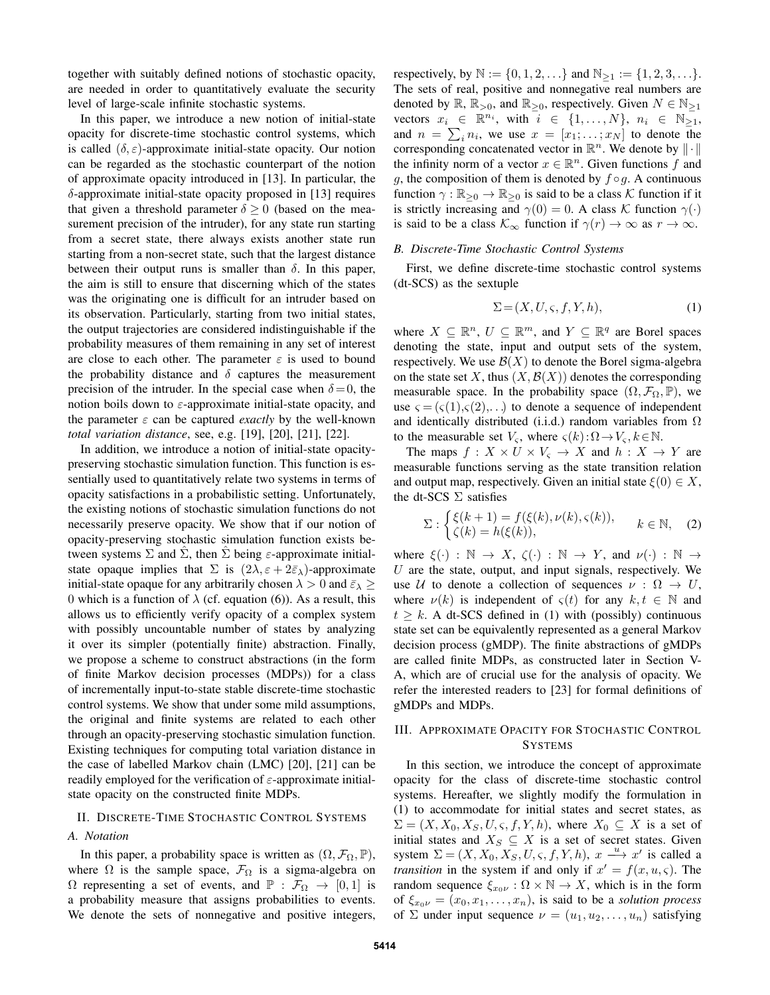together with suitably defined notions of stochastic opacity, are needed in order to quantitatively evaluate the security level of large-scale infinite stochastic systems.

In this paper, we introduce a new notion of initial-state opacity for discrete-time stochastic control systems, which is called  $(\delta, \varepsilon)$ -approximate initial-state opacity. Our notion can be regarded as the stochastic counterpart of the notion of approximate opacity introduced in [13]. In particular, the δ-approximate initial-state opacity proposed in [13] requires that given a threshold parameter  $\delta > 0$  (based on the measurement precision of the intruder), for any state run starting from a secret state, there always exists another state run starting from a non-secret state, such that the largest distance between their output runs is smaller than  $\delta$ . In this paper, the aim is still to ensure that discerning which of the states was the originating one is difficult for an intruder based on its observation. Particularly, starting from two initial states, the output trajectories are considered indistinguishable if the probability measures of them remaining in any set of interest are close to each other. The parameter  $\varepsilon$  is used to bound the probability distance and  $\delta$  captures the measurement precision of the intruder. In the special case when  $\delta = 0$ , the notion boils down to  $\varepsilon$ -approximate initial-state opacity, and the parameter  $\varepsilon$  can be captured *exactly* by the well-known *total variation distance*, see, e.g. [19], [20], [21], [22].

In addition, we introduce a notion of initial-state opacitypreserving stochastic simulation function. This function is essentially used to quantitatively relate two systems in terms of opacity satisfactions in a probabilistic setting. Unfortunately, the existing notions of stochastic simulation functions do not necessarily preserve opacity. We show that if our notion of opacity-preserving stochastic simulation function exists between systems  $\Sigma$  and  $\Sigma$ , then  $\Sigma$  being  $\varepsilon$ -approximate initialstate opaque implies that  $\Sigma$  is  $(2\lambda, \varepsilon + 2\bar{\varepsilon}_{\lambda})$ -approximate initial-state opaque for any arbitrarily chosen  $\lambda > 0$  and  $\bar{\varepsilon}_{\lambda} \geq$ 0 which is a function of  $\lambda$  (cf. equation (6)). As a result, this allows us to efficiently verify opacity of a complex system with possibly uncountable number of states by analyzing it over its simpler (potentially finite) abstraction. Finally, we propose a scheme to construct abstractions (in the form of finite Markov decision processes (MDPs)) for a class of incrementally input-to-state stable discrete-time stochastic control systems. We show that under some mild assumptions, the original and finite systems are related to each other through an opacity-preserving stochastic simulation function. Existing techniques for computing total variation distance in the case of labelled Markov chain (LMC) [20], [21] can be readily employed for the verification of  $\varepsilon$ -approximate initialstate opacity on the constructed finite MDPs.

#### II. DISCRETE-TIME STOCHASTIC CONTROL SYSTEMS

## *A. Notation*

In this paper, a probability space is written as  $(\Omega, \mathcal{F}_{\Omega}, \mathbb{P}),$ where  $\Omega$  is the sample space,  $\mathcal{F}_{\Omega}$  is a sigma-algebra on  $\Omega$  representing a set of events, and  $\mathbb{P}: \mathcal{F}_{\Omega} \to [0, 1]$  is a probability measure that assigns probabilities to events. We denote the sets of nonnegative and positive integers,

respectively, by  $\mathbb{N} := \{0, 1, 2, \ldots\}$  and  $\mathbb{N}_{\geq 1} := \{1, 2, 3, \ldots\}.$ The sets of real, positive and nonnegative real numbers are denoted by  $\mathbb{R}, \mathbb{R}_{>0}$ , and  $\mathbb{R}_{>0}$ , respectively. Given  $N \in \mathbb{N}_{\geq 1}$ vectors  $x_i \in \mathbb{R}^{n_i}$ , with  $i \in \{1, \ldots, N\}$ ,  $n_i \in \overline{\mathbb{N}_{\geq 1}}$ , and  $n = \sum_i n_i$ , we use  $x = [x_1; \dots; x_N]$  to denote the corresponding concatenated vector in  $\mathbb{R}^n$ . We denote by  $\|\cdot\|$ the infinity norm of a vector  $x \in \mathbb{R}^n$ . Given functions f and g, the composition of them is denoted by  $f \circ g$ . A continuous function  $\gamma : \mathbb{R}_{\geq 0} \to \mathbb{R}_{\geq 0}$  is said to be a class K function if it is strictly increasing and  $\gamma(0) = 0$ . A class K function  $\gamma(\cdot)$ is said to be a class  $\mathcal{K}_{\infty}$  function if  $\gamma(r) \to \infty$  as  $r \to \infty$ .

#### *B. Discrete-Time Stochastic Control Systems*

First, we define discrete-time stochastic control systems (dt-SCS) as the sextuple

$$
\Sigma = (X, U, \varsigma, f, Y, h), \tag{1}
$$

where  $X \subseteq \mathbb{R}^n$ ,  $U \subseteq \mathbb{R}^m$ , and  $Y \subseteq \mathbb{R}^q$  are Borel spaces denoting the state, input and output sets of the system, respectively. We use  $\mathcal{B}(X)$  to denote the Borel sigma-algebra on the state set X, thus  $(X, \mathcal{B}(X))$  denotes the corresponding measurable space. In the probability space  $(\Omega, \mathcal{F}_{\Omega}, \mathbb{P})$ , we use  $\varsigma = (\varsigma(1), \varsigma(2), \ldots)$  to denote a sequence of independent and identically distributed (i.i.d.) random variables from  $\Omega$ to the measurable set  $V_s$ , where  $\varsigma(k): \Omega \to V_s, k \in \mathbb{N}$ .

The maps  $f: X \times U \times V_{\varsigma} \to X$  and  $h: X \to Y$  are measurable functions serving as the state transition relation and output map, respectively. Given an initial state  $\xi(0) \in X$ , the dt-SCS  $\Sigma$  satisfies

$$
\Sigma: \begin{cases} \xi(k+1) = f(\xi(k), \nu(k), \varsigma(k)), \\ \zeta(k) = h(\xi(k)), \end{cases} \quad k \in \mathbb{N}, \quad (2)
$$

where  $\xi(\cdot) : \mathbb{N} \to X$ ,  $\zeta(\cdot) : \mathbb{N} \to Y$ , and  $\nu(\cdot) : \mathbb{N} \to Y$ U are the state, output, and input signals, respectively. We use U to denote a collection of sequences  $\nu : \Omega \to U$ , where  $\nu(k)$  is independent of  $\varsigma(t)$  for any  $k, t \in \mathbb{N}$  and  $t \geq k$ . A dt-SCS defined in (1) with (possibly) continuous state set can be equivalently represented as a general Markov decision process (gMDP). The finite abstractions of gMDPs are called finite MDPs, as constructed later in Section V-A, which are of crucial use for the analysis of opacity. We refer the interested readers to [23] for formal definitions of gMDPs and MDPs.

## III. APPROXIMATE OPACITY FOR STOCHASTIC CONTROL SYSTEMS

In this section, we introduce the concept of approximate opacity for the class of discrete-time stochastic control systems. Hereafter, we slightly modify the formulation in (1) to accommodate for initial states and secret states, as  $\Sigma = (X, X_0, X_S, U, \varsigma, f, Y, h)$ , where  $X_0 \subseteq X$  is a set of initial states and  $X_S \subseteq X$  is a set of secret states. Given system  $\Sigma = (X, X_0, X_S, U, \varsigma, f, Y, h), x \stackrel{u}{\longrightarrow} x'$  is called a *transition* in the system if and only if  $x' = f(x, u, \varsigma)$ . The random sequence  $\xi_{x_0\nu} : \Omega \times \mathbb{N} \to X$ , which is in the form of  $\xi_{x_0\nu} = (x_0, x_1, \dots, x_n)$ , is said to be a *solution process* of  $\Sigma$  under input sequence  $\nu = (u_1, u_2, \dots, u_n)$  satisfying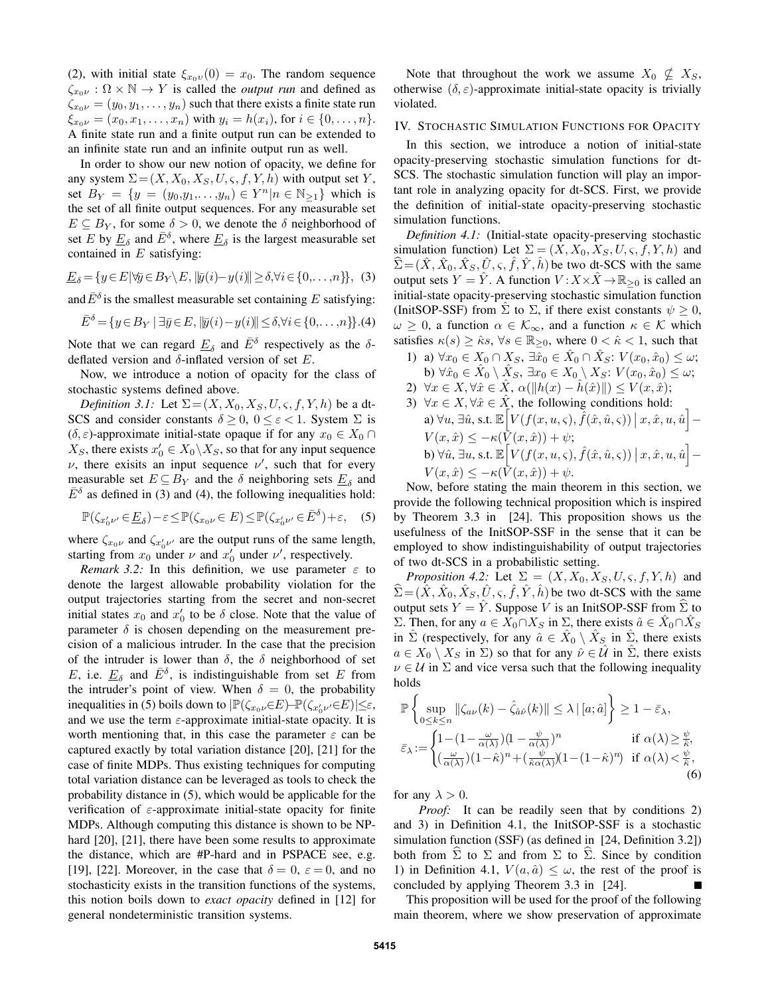(2), with initial state  $\xi_{x_0v}(0) = x_0$ . The random sequence  $\zeta_{x_0\nu} : \Omega \times \mathbb{N} \to Y$  is called the *output run* and defined as  $\zeta_{x_0\nu} = (y_0, y_1, \dots, y_n)$  such that there exists a finite state run  $\xi_{x_0\nu} = (x_0, x_1, \dots, x_n)$  with  $y_i = h(x_i)$ , for  $i \in \{0, \dots, n\}$ . A finite state run and a finite output run can be extended to an infinite state run and an infinite output run as well.

In order to show our new notion of opacity, we define for any system  $\Sigma = (X, X_0, X_S, U, \varsigma, f, Y, h)$  with output set Y, set  $B_Y = \{y = (y_0, y_1, \dots, y_n) \in Y^n | n \in \mathbb{N}_{\ge 1}\}\$  which is the set of all finite output sequences. For any measurable set  $E \subseteq B_Y$ , for some  $\delta > 0$ , we denote the  $\delta$  neighborhood of set E by  $\underline{E}_{\delta}$  and  $\overline{E}^{\delta}$ , where  $\underline{E}_{\delta}$  is the largest measurable set contained in  $E$  satisfying:

$$
\underline{E}_{\delta} = \{ y \in E | \forall \overline{y} \in B_Y \setminus E, \|\overline{y}(i) - y(i)\| \ge \delta, \forall i \in \{0, \dots, n\} \}, \tag{3}
$$

and  $\bar{E}^{\delta}$  is the smallest measurable set containing E satisfying:

$$
\bar{E}^{\delta} = \{ y \in B_Y \mid \exists \bar{y} \in E, \|\bar{y}(i) - y(i)\| \le \delta, \forall i \in \{0, \dots, n\} \} . (4)
$$

Note that we can regard  $\underline{E}_{\delta}$  and  $\overline{E}^{\delta}$  respectively as the  $\delta$ deflated version and  $\delta$ -inflated version of set E.

Now, we introduce a notion of opacity for the class of stochastic systems defined above.

*Definition 3.1:* Let  $\Sigma = (X, X_0, X_S, U, \varsigma, f, Y, h)$  be a dt-SCS and consider constants  $\delta \geq 0$ ,  $0 \leq \varepsilon < 1$ . System  $\Sigma$  is  $(\delta, \varepsilon)$ -approximate initial-state opaque if for any  $x_0 \in X_0 \cap$  $X_S$ , there exists  $x'_0 \in X_0 \backslash X_S$ , so that for any input sequence  $\nu$ , there exisits an input sequence  $\nu'$ , such that for every measurable set  $E \subseteq B_Y$  and the  $\delta$  neighboring sets  $\underline{E}_{\delta}$  and  $\bar{E}^{\delta}$  as defined in (3) and (4), the following inequalities hold:

$$
\mathbb{P}(\zeta_{x'_0\nu'} \in \underline{E}_{\delta}) - \varepsilon \le \mathbb{P}(\zeta_{x_0\nu} \in E) \le \mathbb{P}(\zeta_{x'_0\nu'} \in \bar{E}^{\delta}) + \varepsilon, \quad (5)
$$

where  $\zeta_{x_0\nu}$  and  $\zeta_{x'_0\nu'}$  are the output runs of the same length, starting from  $x_0$  under  $\nu$  and  $x'_0$  under  $\nu'$ , respectively.

*Remark 3.2:* In this definition, we use parameter  $\varepsilon$  to denote the largest allowable probability violation for the output trajectories starting from the secret and non-secret initial states  $x_0$  and  $x'_0$  to be  $\delta$  close. Note that the value of parameter  $\delta$  is chosen depending on the measurement precision of a malicious intruder. In the case that the precision of the intruder is lower than  $\delta$ , the  $\delta$  neighborhood of set E, i.e.  $\underline{E}_{\delta}$  and  $\overline{E}^{\delta}$ , is indistinguishable from set E from the intruder's point of view. When  $\delta = 0$ , the probability inequalities in (5) boils down to  $\left| \mathbb{P}(\zeta_{x_0\nu}\in E) - \mathbb{P}(\zeta_{x'_0\nu'}\in E) \right| \leq \varepsilon$ , and we use the term  $\varepsilon$ -approximate initial-state opacity. It is worth mentioning that, in this case the parameter  $\varepsilon$  can be captured exactly by total variation distance [20], [21] for the case of finite MDPs. Thus existing techniques for computing total variation distance can be leveraged as tools to check the probability distance in (5), which would be applicable for the verification of  $\varepsilon$ -approximate initial-state opacity for finite MDPs. Although computing this distance is shown to be NPhard [20], [21], there have been some results to approximate the distance, which are #P-hard and in PSPACE see, e.g. [19], [22]. Moreover, in the case that  $\delta = 0$ ,  $\varepsilon = 0$ , and no stochasticity exists in the transition functions of the systems, this notion boils down to *exact opacity* defined in [12] for general nondeterministic transition systems.

Note that throughout the work we assume  $X_0 \nsubseteq X_S$ , otherwise  $(\delta, \varepsilon)$ -approximate initial-state opacity is trivially violated.

## IV. STOCHASTIC SIMULATION FUNCTIONS FOR OPACITY

In this section, we introduce a notion of initial-state opacity-preserving stochastic simulation functions for dt-SCS. The stochastic simulation function will play an important role in analyzing opacity for dt-SCS. First, we provide the definition of initial-state opacity-preserving stochastic simulation functions.

*Definition 4.1:* (Initial-state opacity-preserving stochastic simulation function) Let  $\Sigma = (X, X_0, X_S, U, \varsigma, f, Y, h)$  and  $\hat{\Sigma} = (\hat{X}, \hat{X}_0, \hat{X}_S, \hat{U}, \varsigma, \hat{f}, \hat{Y}, \hat{h})$  be two dt-SCS with the same output sets  $Y = \hat{Y}$ . A function  $V: X \times \hat{X} \to \mathbb{R}_{\geq 0}$  is called an initial-state opacity-preserving stochastic simulation function (InitSOP-SSF) from  $\Sigma$  to  $\Sigma$ , if there exist constants  $\psi \geq 0$ ,  $\omega \geq 0$ , a function  $\alpha \in \mathcal{K}_{\infty}$ , and a function  $\kappa \in \mathcal{K}$  which satisfies  $\kappa(s) \geq \hat{\kappa}s$ ,  $\forall s \in \mathbb{R}_{\geq 0}$ , where  $0 < \hat{\kappa} < 1$ , such that

- 1) a)  $\forall x_0 \in X_0 \cap X_S$ ,  $\exists \hat{x}_0 \in \hat{X}_0 \cap \hat{X}_S$ :  $V(x_0, \hat{x}_0) \leq \omega$ ; b)  $\forall \hat{x}_0 \in \hat{X}_0 \setminus \hat{X}_S, \exists x_0 \in X_0 \setminus X_S \colon V(x_0, \hat{x}_0) \leq \omega;$
- 2)  $\forall x \in X, \forall \hat{x} \in \hat{X}, \alpha(\|h(x) h(\hat{x})\|) \leq V(x, \hat{x});$
- 3)  $\forall x \in X, \forall \hat{x} \in \hat{X}$ , the following conditions hold: a)  $\forall u, \exists \hat{u}$ , s.t.  $\mathbb{E}\Big[ V(f(x,u,\varsigma), \hat{f}(\hat{x},\hat{u},\varsigma))\ \big|\ x, \hat{x}, u, \hat{u}\Big] V(x, \hat{x}) \leq -\kappa(\overline{V}(x, \hat{x}))+\psi;$ b)  $\forall \hat{u}, \exists u, \text{s.t. } \mathbb{E}\Big[V(f(x,u,\varsigma), \hat{f}(\hat{x},\hat{u},\varsigma))\ \big|\ x, \hat{x}, u, \hat{u}\Big] V(x, \hat{x}) \leq -\kappa(\bar{V}(x, \hat{x})) + \psi.$

Now, before stating the main theorem in this section, we provide the following technical proposition which is inspired by Theorem 3.3 in [24]. This proposition shows us the usefulness of the InitSOP-SSF in the sense that it can be employed to show indistinguishability of output trajectories of two dt-SCS in a probabilistic setting.

*Proposition 4.2:* Let  $\Sigma = (X, X_0, X_S, U, \varsigma, f, Y, h)$  and  $\hat{\Sigma} = (\hat{X}, \hat{X}_0, \hat{X}_S, \hat{U}, \varsigma, \hat{f}, \hat{Y}, \hat{h})$  be two dt-SCS with the same output sets  $Y = \hat{Y}$ . Suppose V is an InitSOP-SSF from  $\hat{\Sigma}$  to Σ. Then, for any  $a \in X_0 \cap X_S$  in Σ, there exists  $\hat{a} \in \hat{X}_0 \cap \hat{X}_S$ in  $\hat{\Sigma}$  (respectively, for any  $\hat{a} \in \hat{X}_0 \setminus \hat{X}_S$  in  $\hat{\Sigma}$ , there exists  $a \in X_0 \setminus X_S$  in  $\Sigma$ ) so that for any  $\hat{\nu} \in \mathcal{U}$  in  $\Sigma$ , there exists  $\nu \in U$  in  $\Sigma$  and vice versa such that the following inequality holds

$$
\mathbb{P}\left\{\sup_{0\leq k\leq n} \|\zeta_{a\nu}(k) - \hat{\zeta}_{\hat{a}\hat{\nu}}(k)\| \leq \lambda \left|\left[a;\hat{a}\right]\right\}\right\} \geq 1 - \bar{\varepsilon}_{\lambda},
$$
\n
$$
\bar{\varepsilon}_{\lambda} := \begin{cases}\n1 - (1 - \frac{\omega}{\alpha(\lambda)}) (1 - \frac{\psi}{\alpha(\lambda)})^n & \text{if } \alpha(\lambda) \geq \frac{\psi}{\hat{\kappa}}, \\
(\frac{\omega}{\alpha(\lambda)}) (1 - \hat{\kappa})^n + (\frac{\psi}{\hat{\kappa}\alpha(\lambda)}) (1 - (1 - \hat{\kappa})^n) & \text{if } \alpha(\lambda) < \frac{\psi}{\hat{\kappa}},\n\end{cases}
$$
\n(6)

for any  $\lambda > 0$ .

*Proof:* It can be readily seen that by conditions 2) and 3) in Definition 4.1, the InitSOP-SSF is a stochastic simulation function (SSF) (as defined in [24, Definition 3.2]) both from  $\Sigma$  to  $\Sigma$  and from  $\Sigma$  to  $\Sigma$ . Since by condition 1) in Definition 4.1,  $V(a, \hat{a}) \leq \omega$ , the rest of the proof is concluded by applying Theorem 3.3 in [24].

This proposition will be used for the proof of the following main theorem, where we show preservation of approximate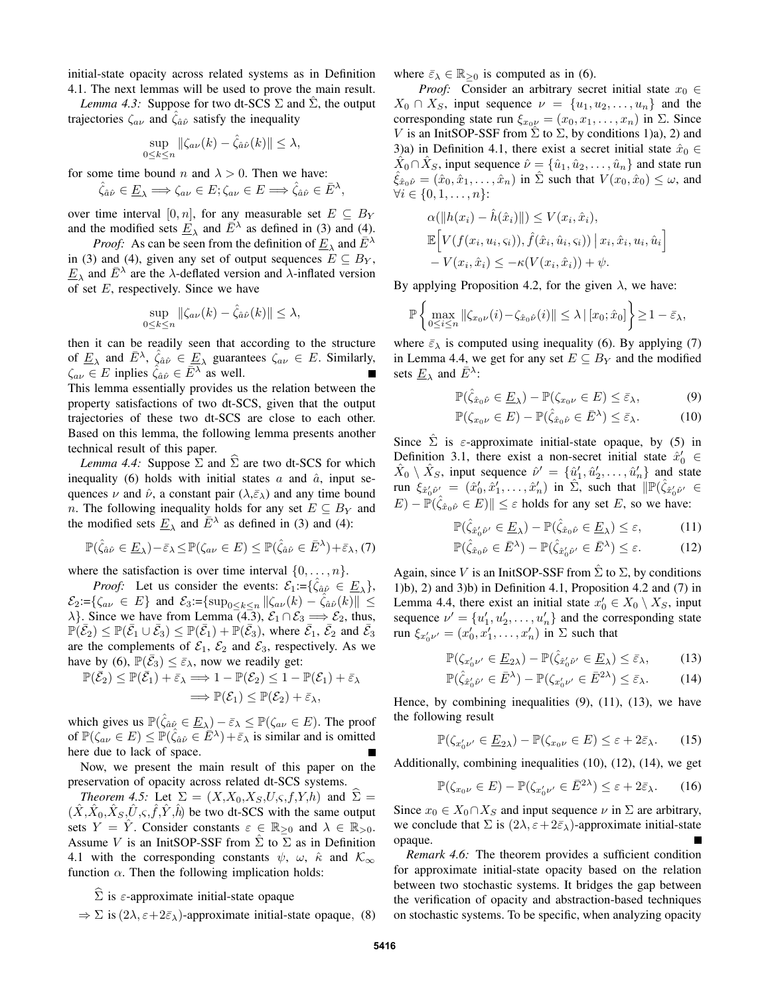initial-state opacity across related systems as in Definition 4.1. The next lemmas will be used to prove the main result.

*Lemma 4.3:* Suppose for two dt-SCS  $\Sigma$  and  $\Sigma$ , the output trajectories  $\zeta_{a\nu}$  and  $\zeta_{\hat{a}\hat{\nu}}$  satisfy the inequality

$$
\sup_{0\leq k\leq n} \|\zeta_{a\nu}(k) - \hat{\zeta}_{\hat{a}\hat{\nu}}(k)\| \leq \lambda,
$$

for some time bound n and  $\lambda > 0$ . Then we have:

$$
\hat{\zeta}_{\hat{a}\hat{\nu}} \in \underline{E}_{\lambda} \Longrightarrow \zeta_{a\nu} \in E; \zeta_{a\nu} \in E \Longrightarrow \hat{\zeta}_{\hat{a}\hat{\nu}} \in \bar{E}^{\lambda}
$$

,

over time interval [0, n], for any measurable set  $E \subseteq B_Y$ and the modified sets  $\underline{E}_{\lambda}$  and  $\overline{E}^{\lambda}$  as defined in (3) and (4).

*Proof:* As can be seen from the definition of  $\underline{E}_{\lambda}$  and  $\overline{E}^{\lambda}$ in (3) and (4), given any set of output sequences  $E \subseteq B_Y$ ,  $\underline{E}_{\lambda}$  and  $\overline{E}^{\lambda}$  are the  $\lambda$ -deflated version and  $\lambda$ -inflated version of set  $E$ , respectively. Since we have

$$
\sup_{0 \le k \le n} \|\zeta_{a\nu}(k) - \hat{\zeta}_{\hat{a}\hat{\nu}}(k)\| \le \lambda,
$$

then it can be readily seen that according to the structure of  $\underline{E}_{\lambda}$  and  $\overline{E}^{\lambda}$ ,  $\hat{\zeta}_{\hat{a}\hat{\nu}} \in \underline{E}_{\lambda}$  guarantees  $\zeta_{a\nu} \in E$ . Similarly,  $\zeta_{a\nu} \in E$  inplies  $\hat{\zeta}_{\hat{a}\hat{\nu}} \in \overline{E}^{\lambda}$  as well. This lemma essentially provides us the relation between the property satisfactions of two dt-SCS, given that the output trajectories of these two dt-SCS are close to each other. Based on this lemma, the following lemma presents another technical result of this paper.

*Lemma 4.4:* Suppose  $\Sigma$  and  $\hat{\Sigma}$  are two dt-SCS for which inequality (6) holds with initial states a and  $\hat{a}$ , input sequences  $\nu$  and  $\hat{\nu}$ , a constant pair  $(\lambda, \bar{\varepsilon}_{\lambda})$  and any time bound n. The following inequality holds for any set  $E \subseteq B_Y$  and the modified sets  $\underline{E}_{\lambda}$  and  $\overline{E}^{\lambda}$  as defined in (3) and (4):

$$
\mathbb{P}(\hat{\zeta}_{\hat{a}\hat{\nu}} \in \underline{E}_{\lambda}) - \bar{\varepsilon}_{\lambda} \leq \mathbb{P}(\zeta_{a\nu} \in E) \leq \mathbb{P}(\hat{\zeta}_{\hat{a}\hat{\nu}} \in \bar{E}^{\lambda}) + \bar{\varepsilon}_{\lambda}, (7)
$$

where the satisfaction is over time interval  $\{0, \ldots, n\}$ .

*Proof:* Let us consider the events:  $\mathcal{E}_1 := {\hat{\zeta}_{\hat{a}\hat{\mu}}} \in \underline{E}_{\lambda}$ ,  $\mathcal{E}_2 = {\zeta_{av} \in E}$  and  $\mathcal{E}_3 = {\sup_{0 \le k \le n} ||\zeta_{av}(k) - \hat{\zeta}_{\hat{a}\hat{\nu}}(k)|| \le \epsilon}$  $\lambda$ . Since we have from Lemma (4.3),  $\mathcal{E}_1 \cap \mathcal{E}_3 \Longrightarrow \mathcal{E}_2$ , thus,  $\mathbb{P}(\bar{\mathcal{E}}_2) \leq \mathbb{P}(\bar{\mathcal{E}}_1 \cup \bar{\mathcal{E}}_3) \leq \mathbb{P}(\bar{\mathcal{E}}_1) + \mathbb{P}(\bar{\mathcal{E}}_3)$ , where  $\bar{\mathcal{E}}_1$ ,  $\bar{\mathcal{E}}_2$  and  $\bar{\mathcal{E}}_3$ are the complements of  $\mathcal{E}_1$ ,  $\mathcal{E}_2$  and  $\mathcal{E}_3$ , respectively. As we have by (6),  $\mathbb{P}(\bar{\mathcal{E}}_3) \leq \bar{\varepsilon}_{\lambda}$ , now we readily get:

$$
\mathbb{P}(\bar{\mathcal{E}}_2) \leq \mathbb{P}(\bar{\mathcal{E}}_1) + \bar{\varepsilon}_{\lambda} \Longrightarrow 1 - \mathbb{P}(\mathcal{E}_2) \leq 1 - \mathbb{P}(\mathcal{E}_1) + \bar{\varepsilon}_{\lambda} \n\Longrightarrow \mathbb{P}(\mathcal{E}_1) \leq \mathbb{P}(\mathcal{E}_2) + \bar{\varepsilon}_{\lambda},
$$

which gives us  $\mathbb{P}(\hat{\zeta}_{\hat{a}\hat{\nu}} \in \underline{E}_{\lambda}) - \bar{\varepsilon}_{\lambda} \leq \mathbb{P}(\zeta_{a\nu} \in E)$ . The proof of  $\mathbb{P}(\zeta_{a\nu} \in E) \leq \mathbb{P}(\hat{\zeta}_{\hat{a}\hat{\nu}} \in \overline{E}^{\lambda}) + \overline{\varepsilon}_{\lambda}$  is similar and is omitted here due to lack of space.

Now, we present the main result of this paper on the preservation of opacity across related dt-SCS systems.

*Theorem 4.5:* Let  $\Sigma = (X, X_0, X_S, U, \varsigma, f, Y, h)$  and  $\Sigma =$  $(\hat{X}, \hat{X}_0, \hat{X}_S, \hat{U}, \varsigma, \hat{f}, \hat{Y}, \hat{h})$  be two dt-SCS with the same output sets  $Y = \hat{Y}$ . Consider constants  $\varepsilon \in \mathbb{R}_{\geq 0}$  and  $\lambda \in \mathbb{R}_{\geq 0}$ . Assume V is an InitSOP-SSF from  $\hat{\Sigma}$  to  $\Sigma$  as in Definition 4.1 with the corresponding constants  $\psi$ ,  $\omega$ ,  $\hat{\kappa}$  and  $\mathcal{K}_{\infty}$ function  $\alpha$ . Then the following implication holds:

## $\sum$  is  $\varepsilon$ -approximate initial-state opaque

 $\Rightarrow \Sigma$  is  $(2\lambda, \varepsilon+2\bar{\varepsilon}_{\lambda})$ -approximate initial-state opaque, (8)

where  $\bar{\varepsilon}_{\lambda} \in \mathbb{R}_{\geq 0}$  is computed as in (6).

*Proof:* Consider an arbitrary secret initial state  $x_0 \in$  $X_0 \cap X_S$ , input sequence  $\nu = \{u_1, u_2, \ldots, u_n\}$  and the corresponding state run  $\xi_{x_0\nu} = (x_0, x_1, \dots, x_n)$  in  $\Sigma$ . Since V is an InitSOP-SSF from  $\hat{\Sigma}$  to  $\Sigma$ , by conditions 1)a), 2) and 3)a) in Definition 4.1, there exist a secret initial state  $\hat{x}_0 \in$  $\hat{X}_0 \cap \hat{X}_S$ , input sequence  $\hat{\nu} = \{\hat{u}_1, \hat{u}_2, \dots, \hat{u}_n\}$  and state run  $\hat{\xi}_{\hat{x}_0\hat{\nu}} = (\hat{x}_0, \hat{x}_1, \dots, \hat{x}_n)$  in  $\hat{\Sigma}$  such that  $V(x_0, \hat{x}_0) \leq \omega$ , and  $\forall i \in \{0, 1, \ldots, n\}$ :

$$
\alpha(||h(x_i) - \hat{h}(\hat{x}_i)||) \le V(x_i, \hat{x}_i),
$$
  
\n
$$
\mathbb{E}\Big[V(f(x_i, u_i, \varsigma_i)), \hat{f}(\hat{x}_i, \hat{u}_i, \varsigma_i)) \mid x_i, \hat{x}_i, u_i, \hat{u}_i\Big] - V(x_i, \hat{x}_i) \le -\kappa(V(x_i, \hat{x}_i)) + \psi.
$$

By applying Proposition 4.2, for the given  $\lambda$ , we have:

$$
\mathbb{P}\left\{\max_{0\leq i\leq n} \|\zeta_{x_0\nu}(i)-\zeta_{\hat{x}_0\hat{\nu}}(i)\| \leq \lambda \,|\, [x_0;\hat{x}_0]\right\} \geq 1-\bar{\varepsilon}_{\lambda},
$$

where  $\bar{\varepsilon}_{\lambda}$  is computed using inequality (6). By applying (7) in Lemma 4.4, we get for any set  $E \subseteq B_Y$  and the modified sets  $\underline{E}_{\lambda}$  and  $\overline{E}^{\lambda}$ :

$$
\mathbb{P}(\hat{\zeta}_{\hat{x}_0\hat{\nu}} \in \underline{E}_{\lambda}) - \mathbb{P}(\zeta_{x_0\nu} \in E) \le \bar{\varepsilon}_{\lambda},\tag{9}
$$

$$
\mathbb{P}(\zeta_{x_0\nu}\in E) - \mathbb{P}(\hat{\zeta}_{\hat{x}_0\hat{\nu}}\in \bar{E}^{\lambda}) \leq \bar{\varepsilon}_{\lambda}.
$$
 (10)

Since  $\hat{\Sigma}$  is  $\varepsilon$ -approximate initial-state opaque, by (5) in Definition 3.1, there exist a non-secret initial state  $\hat{x}'_0 \in$  $\hat{X}_0 \setminus \hat{X}_S$ , input sequence  $\hat{\nu}' = {\hat{u}'_1, \hat{u}'_2, \dots, \hat{u}'_n}$  and state run  $\xi_{\hat{x}'_0\hat{\nu}'} = (\hat{x}'_0, \hat{x}'_1, \dots, \hat{x}'_n)$  in  $\hat{\Sigma}$ , such that  $\|\mathbb{P}(\hat{\zeta}_{\hat{x}'_0\hat{\nu}'}\|$  $(E) - \mathbb{P}(\hat{\zeta}_{\hat{x}_0\hat{\nu}} \in E) \|\leq \varepsilon$  holds for any set E, so we have:

$$
\mathbb{P}(\hat{\zeta}_{\hat{x}_0'\hat{\nu}'} \in \underline{E}_{\lambda}) - \mathbb{P}(\hat{\zeta}_{\hat{x}_0\hat{\nu}} \in \underline{E}_{\lambda}) \le \varepsilon, \tag{11}
$$

$$
\mathbb{P}(\hat{\zeta}_{\hat{x}_0\hat{\nu}}\in\bar{E}^{\lambda}) - \mathbb{P}(\hat{\zeta}_{\hat{x}'_0\hat{\nu}'}\in\bar{E}^{\lambda}) \leq \varepsilon. \tag{12}
$$

Again, since V is an InitSOP-SSF from  $\hat{\Sigma}$  to  $\Sigma$ , by conditions 1)b), 2) and 3)b) in Definition 4.1, Proposition 4.2 and (7) in Lemma 4.4, there exist an initial state  $x'_0 \in X_0 \setminus X_S$ , input sequence  $\nu' = \{u'_1, u'_2, \dots, u'_n\}$  and the corresponding state run  $\xi_{x'_0\nu'} = (x'_0, x'_1, \dots, x'_n)$  in  $\Sigma$  such that

$$
\mathbb{P}(\zeta_{x'_0\nu'} \in \underline{E}_{2\lambda}) - \mathbb{P}(\hat{\zeta}_{\hat{x}'_0\hat{\nu}'} \in \underline{E}_{\lambda}) \le \bar{\varepsilon}_{\lambda},\tag{13}
$$

$$
\mathbb{P}(\hat{\zeta}_{\hat{x}'_0\hat{\nu}'}\in \bar{E}^{\lambda}) - \mathbb{P}(\zeta_{x'_0\nu'}\in \bar{E}^{2\lambda}) \le \bar{\varepsilon}_{\lambda}.
$$
 (14)

Hence, by combining inequalities  $(9)$ ,  $(11)$ ,  $(13)$ , we have the following result

$$
\mathbb{P}(\zeta_{x'_0\nu'} \in \underline{E}_{2\lambda}) - \mathbb{P}(\zeta_{x_0\nu} \in E) \le \varepsilon + 2\bar{\varepsilon}_{\lambda}.\tag{15}
$$

Additionally, combining inequalities (10), (12), (14), we get

$$
\mathbb{P}(\zeta_{x_0\nu} \in E) - \mathbb{P}(\zeta_{x'_0\nu'} \in \bar{E}^{2\lambda}) \le \varepsilon + 2\bar{\varepsilon}_{\lambda}.\tag{16}
$$

Since  $x_0 \in X_0 \cap X_S$  and input sequence  $\nu$  in  $\Sigma$  are arbitrary, we conclude that  $\Sigma$  is  $(2\lambda, \varepsilon+2\bar{\varepsilon}_{\lambda})$ -approximate initial-state opaque.

*Remark 4.6:* The theorem provides a sufficient condition for approximate initial-state opacity based on the relation between two stochastic systems. It bridges the gap between the verification of opacity and abstraction-based techniques on stochastic systems. To be specific, when analyzing opacity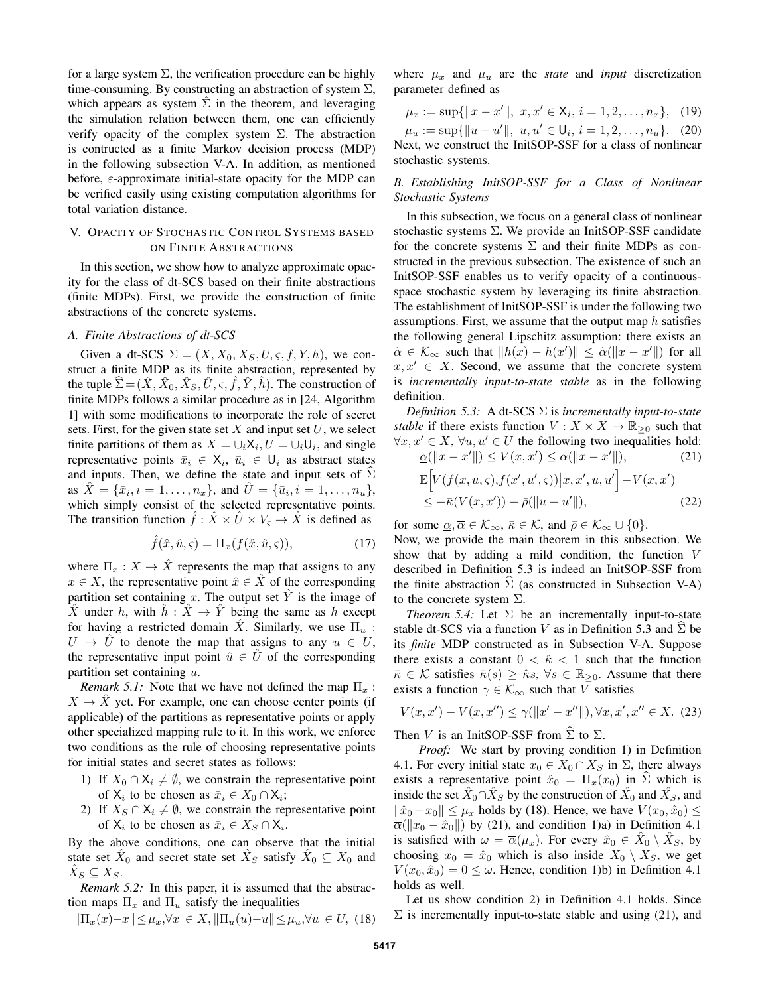for a large system  $\Sigma$ , the verification procedure can be highly time-consuming. By constructing an abstraction of system  $\Sigma$ , which appears as system  $\Sigma$  in the theorem, and leveraging the simulation relation between them, one can efficiently verify opacity of the complex system  $\Sigma$ . The abstraction is contructed as a finite Markov decision process (MDP) in the following subsection V-A. In addition, as mentioned before,  $\varepsilon$ -approximate initial-state opacity for the MDP can be verified easily using existing computation algorithms for total variation distance.

## V. OPACITY OF STOCHASTIC CONTROL SYSTEMS BASED ON FINITE ABSTRACTIONS

In this section, we show how to analyze approximate opacity for the class of dt-SCS based on their finite abstractions (finite MDPs). First, we provide the construction of finite abstractions of the concrete systems.

#### *A. Finite Abstractions of dt-SCS*

Given a dt-SCS  $\Sigma = (X, X_0, X_S, U, \varsigma, f, Y, h)$ , we construct a finite MDP as its finite abstraction, represented by the tuple  $\hat{\Sigma} = (\hat{X}, \hat{X}_0, \hat{X}_S, \hat{U}, \varsigma, \hat{f}, \hat{Y}, \hat{h})$ . The construction of finite MDPs follows a similar procedure as in [24, Algorithm 1] with some modifications to incorporate the role of secret sets. First, for the given state set  $X$  and input set  $U$ , we select finite partitions of them as  $X = \bigcup_i X_i, U = \bigcup_i U_i$ , and single representative points  $\bar{x}_i \in \mathsf{X}_i$ ,  $\bar{u}_i \in \mathsf{U}_i$  as abstract states and inputs. Then, we define the state and input sets of  $\Sigma$ as  $\hat{X} = {\bar{x}_i, i = 1, ..., n_x},$  and  $\hat{U} = {\bar{u}_i, i = 1, ..., n_u},$ which simply consist of the selected representative points. The transition function  $\hat{f}$  :  $\hat{X} \times \hat{U} \times V_{\varsigma} \to \hat{X}$  is defined as

$$
\hat{f}(\hat{x}, \hat{u}, \varsigma) = \Pi_x(f(\hat{x}, \hat{u}, \varsigma)),\tag{17}
$$

where  $\Pi_x : X \to \hat{X}$  represents the map that assigns to any  $x \in X$ , the representative point  $\hat{x} \in X$  of the corresponding partition set containing x. The output set  $\overline{Y}$  is the image of X under h, with  $h: X \to Y$  being the same as h except for having a restricted domain X. Similarly, we use  $\Pi_u$ :  $U \rightarrow U$  to denote the map that assigns to any  $u \in U$ , the representative input point  $\hat{u} \in \hat{U}$  of the corresponding partition set containing  $u$ .

*Remark 5.1:* Note that we have not defined the map  $\Pi_x$ :  $X \to X$  yet. For example, one can choose center points (if applicable) of the partitions as representative points or apply other specialized mapping rule to it. In this work, we enforce two conditions as the rule of choosing representative points for initial states and secret states as follows:

- 1) If  $X_0 \cap X_i \neq \emptyset$ , we constrain the representative point of  $X_i$  to be chosen as  $\bar{x}_i \in X_0 \cap X_i$ ;
- 2) If  $X_S \cap X_i \neq \emptyset$ , we constrain the representative point of  $X_i$  to be chosen as  $\bar{x}_i \in X_S \cap X_i$ .

By the above conditions, one can observe that the initial state set  $\hat{X}_0$  and secret state set  $\hat{X}_S$  satisfy  $\hat{X}_0 \subseteq X_0$  and  $\hat{X}_S \subseteq X_S$ .

*Remark 5.2:* In this paper, it is assumed that the abstraction maps  $\Pi_x$  and  $\Pi_u$  satisfy the inequalities

$$
\|\Pi_x(x) - x\| \le \mu_x, \forall x \in X, \|\Pi_u(u) - u\| \le \mu_u, \forall u \in U, (18)
$$

where  $\mu_x$  and  $\mu_u$  are the *state* and *input* discretization parameter defined as

$$
\mu_x := \sup\{\|x - x'\|, \ x, x' \in \mathsf{X}_i, \ i = 1, 2, \dots, n_x\}, \tag{19}
$$

 $\mu_u := \sup\{\|u - u'\|, u, u' \in \mathsf{U}_i, i = 1, 2, \dots, n_u\}.$  (20) Next, we construct the InitSOP-SSF for a class of nonlinear stochastic systems.

# *B. Establishing InitSOP-SSF for a Class of Nonlinear Stochastic Systems*

In this subsection, we focus on a general class of nonlinear stochastic systems Σ. We provide an InitSOP-SSF candidate for the concrete systems  $\Sigma$  and their finite MDPs as constructed in the previous subsection. The existence of such an InitSOP-SSF enables us to verify opacity of a continuousspace stochastic system by leveraging its finite abstraction. The establishment of InitSOP-SSF is under the following two assumptions. First, we assume that the output map  $h$  satisfies the following general Lipschitz assumption: there exists an  $\tilde{\alpha} \in \mathcal{K}_{\infty}$  such that  $||h(x) - h(x')|| \leq \tilde{\alpha}(||x - x'||)$  for all  $x, x' \in X$ . Second, we assume that the concrete system is *incrementally input-to-state stable* as in the following definition.

*Definition 5.3:* A dt-SCS Σ is *incrementally input-to-state stable* if there exists function  $V : X \times X \to \mathbb{R}_{\geq 0}$  such that  $\forall x, x' \in X, \forall u, u' \in U$  the following two inequalities hold:  $\underline{\alpha}(\Vert x - x' \Vert) \leq V(x, x') \leq \overline{\alpha}(\Vert x - x' \Vert)$  $(21)$  $\mathbb{E}\Big[ V(f(x,u,\varsigma),f(x',u',\varsigma))\big| x,x',u,u' \Big]-V(x,x')$  $\leq -\bar{\kappa}(V(x, x')) + \bar{\rho}(\|u - u'\|)$  $(22)$ 

for some  $\underline{\alpha}, \overline{\alpha} \in \mathcal{K}_{\infty}, \overline{\kappa} \in \mathcal{K}$ , and  $\overline{\rho} \in \mathcal{K}_{\infty} \cup \{0\}.$ 

Now, we provide the main theorem in this subsection. We show that by adding a mild condition, the function V described in Definition 5.3 is indeed an InitSOP-SSF from the finite abstraction  $\Sigma$  (as constructed in Subsection V-A) to the concrete system  $\Sigma$ .

*Theorem 5.4:* Let  $\Sigma$  be an incrementally input-to-state stable dt-SCS via a function V as in Definition 5.3 and  $\Sigma$  be its *finite* MDP constructed as in Subsection V-A. Suppose there exists a constant  $0 < \hat{\kappa} < 1$  such that the function  $\bar{\kappa} \in \mathcal{K}$  satisfies  $\bar{\kappa}(s) \geq \hat{\kappa}s$ ,  $\forall s \in \mathbb{R}_{\geq 0}$ . Assume that there exists a function  $\gamma \in \mathcal{K}_{\infty}$  such that V satisfies

$$
V(x, x') - V(x, x'') \le \gamma(\|x' - x''\|), \forall x, x', x'' \in X. \tag{23}
$$

Then V is an InitSOP-SSF from  $\hat{\Sigma}$  to  $\Sigma$ .

*Proof:* We start by proving condition 1) in Definition 4.1. For every initial state  $x_0 \in X_0 \cap X_S$  in  $\Sigma$ , there always exists a representative point  $\hat{x}_0 = \Pi_x(x_0)$  in  $\hat{\Sigma}$  which is inside the set  $\hat{X}_0 \cap \hat{X}_S$  by the construction of  $\hat{X}_0$  and  $\hat{X}_S$ , and  $\|\hat{x}_0 - x_0\| \leq \mu_x$  holds by (18). Hence, we have  $V(x_0, \hat{x}_0) \leq$  $\overline{\alpha}(\Vert x_0 - \hat{x}_0 \Vert)$  by (21), and condition 1)a) in Definition 4.1 is satisfied with  $\omega = \overline{\alpha}(\mu_x)$ . For every  $\hat{x}_0 \in \hat{X}_0 \setminus \hat{X}_S$ , by choosing  $x_0 = \hat{x}_0$  which is also inside  $X_0 \setminus X_S$ , we get  $V(x_0, \hat{x}_0) = 0 \leq \omega$ . Hence, condition 1)b) in Definition 4.1 holds as well.

Let us show condition 2) in Definition 4.1 holds. Since  $\Sigma$  is incrementally input-to-state stable and using (21), and